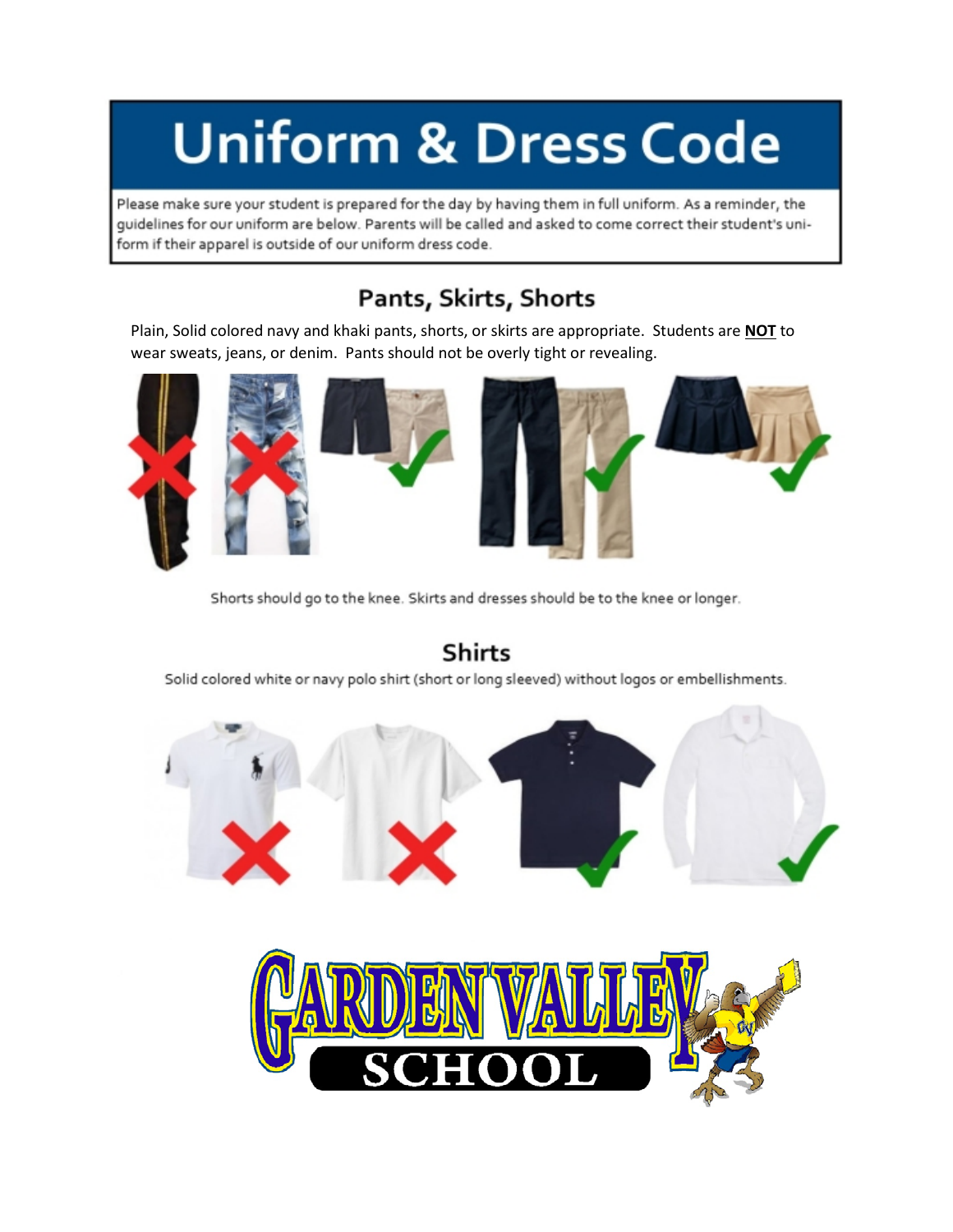# **Uniform & Dress Code**

Please make sure your student is prepared for the day by having them in full uniform. As a reminder, the quidelines for our uniform are below. Parents will be called and asked to come correct their student's uniform if their apparel is outside of our uniform dress code.

### Pants, Skirts, Shorts

Plain, Solid colored navy and khaki pants, shorts, or skirts are appropriate. Students are NOT to wear sweats, jeans, or denim. Pants should not be overly tight or revealing.



Shorts should go to the knee. Skirts and dresses should be to the knee or longer.



#### **Shirts**

Solid colored white or navy polo shirt (short or long sleeved) without logos or embellishments.